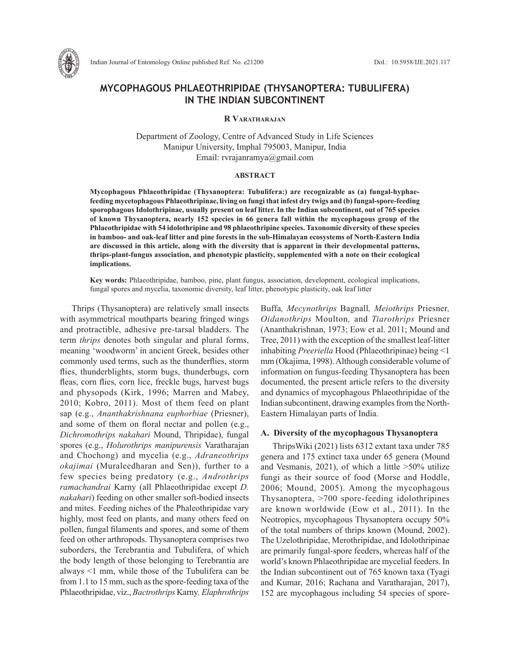

# **MYCOPHAGOUS PHLAEOTHRIPIDAE (THYSANOPTERA: TUBULIFERA) IN THE INDIAN SUBCONTINENT**

### **R Varatharajan**

Department of Zoology, Centre of Advanced Study in Life Sciences Manipur University, Imphal 795003, Manipur, India Email: rvrajanramya@gmail.com

#### **ABSTRACT**

**Mycophagous Phlaeothripidae (Thysanoptera: Tubulifera:) are recognizable as (a) fungal-hyphaefeeding mycetophagous Phlaeothripinae, living on fungi that infest dry twigs and (b) fungal-spore-feeding sporophagous Idolothripinae, usually present on leaf litter. In the Indian subcontinent, out of 765 species of known Thysanoptera, nearly 152 species in 66 genera fall within the mycophagous group of the Phlaeothripidae with 54 idolothripine and 98 phlaeothripine species. Taxonomic diversity of these species in bamboo- and oak-leaf litter and pine forests in the sub-Himalayan ecosystems of North-Eastern India are discussed in this article, along with the diversity that is apparent in their developmental patterns, thrips-plant-fungus association, and phenotypic plasticity, supplemented with a note on their ecological implications.** 

**Key words:** Phlaeothripidae, bamboo, pine, plant fungus, association, development, ecological implications, fungal spores and mycelia, taxonomic diversity, leaf litter, phenotypic plasticity, oak leaf litter

Thrips (Thysanoptera) are relatively small insects with asymmetrical mouthparts bearing fringed wings and protractible, adhesive pre-tarsal bladders. The term *thrips* denotes both singular and plural forms, meaning 'woodworm' in ancient Greek, besides other commonly used terms, such as the thunderflies, storm flies, thunderblights, storm bugs, thunderbugs, corn fleas, corn flies, corn lice, freckle bugs, harvest bugs and physopods (Kirk, 1996; Marren and Mabey, 2010; Kobro, 2011). Most of them feed on plant sap (e.g., *Ananthakrishnana euphorbiae* (Priesner), and some of them on floral nectar and pollen (e.g., *Dichromothrips nakahari* Mound, Thripidae), fungal spores (e.g., *Holurothrips manipurensis* Varatharajan and Chochong) and mycelia (e.g., *Adraneothrips okajimai* (Muraleedharan and Sen)), further to a few species being predatory (e.g., *Androthrips ramachandrai* Karny (all Phlaeothripidae except *D. nakahari*) feeding on other smaller soft-bodied insects and mites. Feeding niches of the Phaleothripidae vary highly, most feed on plants, and many others feed on pollen, fungal filaments and spores, and some of them feed on other arthropods. Thysanoptera comprises two suborders, the Terebrantia and Tubulifera, of which the body length of those belonging to Terebrantia are always <1 mm, while those of the Tubulifera can be from 1.1 to 15 mm, such as the spore-feeding taxa of the Phlaeothripidae, viz., *Bactrothrips* Karny*, Elaphrothrips*

Buffa*, Mecynothrips* Bagnall*, Meiothrips* Priesner*, Oidanothrips* Moulton*,* and *Tiarothrips* Priesner (Ananthakrishnan, 1973; Eow et al. 2011; Mound and Tree, 2011) with the exception of the smallest leaf-litter inhabiting *Preeriella* Hood (Phlaeothripinae) being <1 mm (Okajima, 1998). Although considerable volume of information on fungus-feeding Thysanoptera has been documented, the present article refers to the diversity and dynamics of mycophagous Phlaeothripidae of the Indian subcontinent, drawing examples from the North-Eastern Himalayan parts of India.

# **A. Diversity of the mycophagous Thysanoptera**

ThripsWiki (2021) lists 6312 extant taxa under 785 genera and 175 extinct taxa under 65 genera (Mound and Vesmanis, 2021), of which a little >50% utilize fungi as their source of food (Morse and Hoddle, 2006; Mound, 2005). Among the mycophagous Thysanoptera, >700 spore-feeding idolothripines are known worldwide (Eow et al., 2011). In the Neotropics, mycophagous Thysanoptera occupy 50% of the total numbers of thrips known (Mound, 2002). The Uzelothripidae, Merothripidae, and Idolothripinae are primarily fungal-spore feeders, whereas half of the world's known Phlaeothripidae are mycelial feeders. In the Indian subcontinent out of 765 known taxa (Tyagi and Kumar, 2016; Rachana and Varatharajan, 2017), 152 are mycophagous including 54 species of spore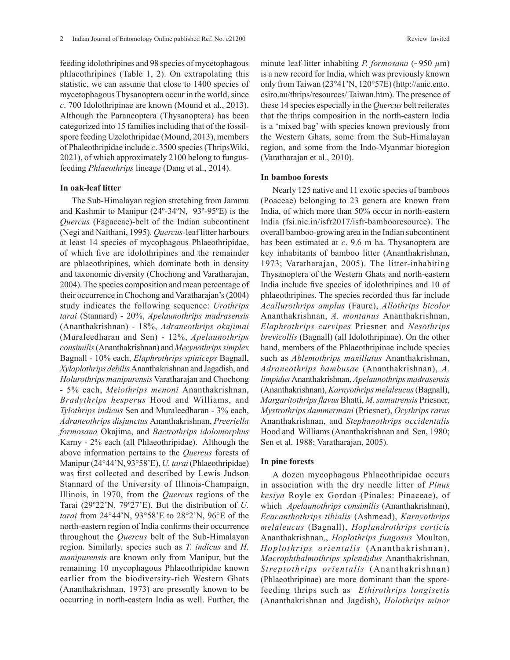feeding idolothripines and 98 species of mycetophagous phlaeothripines (Table 1, 2). On extrapolating this statistic, we can assume that close to 1400 species of mycetophagous Thysanoptera occur in the world, since *c*. 700 Idolothripinae are known (Mound et al., 2013). Although the Paraneoptera (Thysanoptera) has been categorized into 15 families including that of the fossilspore feeding Uzelothripidae (Mound, 2013), members of Phaleothripidae include *c*. 3500 species (ThripsWiki, 2021), of which approximately 2100 belong to fungusfeeding *Phlaeothrips* lineage (Dang et al., 2014).

# **In oak-leaf litter**

The Sub-Himalayan region stretching from Jammu and Kashmir to Manipur (24º-34ºN, 93º-95ºE) is the *Quercus* (Fagaceae)-belt of the Indian subcontinent (Negi and Naithani, 1995). *Quercus*-leaf litter harbours at least 14 species of mycophagous Phlaeothripidae, of which five are idolothripines and the remainder are phlaeothripines, which dominate both in density and taxonomic diversity (Chochong and Varatharajan, 2004). The species composition and mean percentage of their occurrence in Chochong and Varatharajan's (2004) study indicates the following sequence: *Urothrips tarai* (Stannard) - 20%, *Apelaunothrips madrasensis* (Ananthakrishnan) - 18%, *Adraneothrips okajimai* (Muraleedharan and Sen) - 12%, *Apelaunothrips consimilis* (Ananthakrishnan) and *Mecynothrips simplex* Bagnall - 10% each, *Elaphrothrips spiniceps* Bagnall, *Xylaplothrips debilis* Ananthakrishnan and Jagadish, and *Holurothrips manipurensis* Varatharajan and Chochong - 5% each, *Meiothrips menoni* Ananthakrishnan, *Bradythrips hesperus* Hood and Williams, and *Tylothrips indicus* Sen and Muraleedharan - 3% each, *Adraneothrips disjunctus* Ananthakrishnan, *Preeriella formosana* Okajima, and *Bactrothrips idolomorphus*  Karny - 2% each (all Phlaeothripidae). Although the above information pertains to the *Quercus* forests of Manipur (24°44'N, 93°58'E), *U. tarai* (Phlaeothripidae) was first collected and described by Lewis Judson Stannard of the University of Illinois-Champaign, Illinois, in 1970, from the *Quercus* regions of the Tarai (29º22'N, 79º27'E). But the distribution of *U. tarai* from 24°44'N, 93°58'E to 28°2'N, 96°E of the north-eastern region of India confirms their occurrence throughout the *Quercus* belt of the Sub-Himalayan region. Similarly, species such as *T. indicus* and *H. manipurensis* are known only from Manipur, but the remaining 10 mycophagous Phlaeothripidae known earlier from the biodiversity-rich Western Ghats (Ananthakrishnan, 1973) are presently known to be occurring in north-eastern India as well. Further, the

minute leaf-litter inhabiting *P. formosana* (~950 *µ*m) is a new record for India, which was previously known only from Taiwan (23°41'N, 120°57E) (http://anic.ento. csiro.au/thrips/resources/ Taiwan.htm). The presence of these 14 species especially in the *Quercus* belt reiterates that the thrips composition in the north-eastern India is a 'mixed bag' with species known previously from the Western Ghats, some from the Sub-Himalayan region, and some from the Indo-Myanmar bioregion (Varatharajan et al., 2010).

# **In bamboo forests**

Nearly 125 native and 11 exotic species of bamboos (Poaceae) belonging to 23 genera are known from India, of which more than 50% occur in north-eastern India (fsi.nic.in/isfr2017/isfr-bambooresource). The overall bamboo-growing area in the Indian subcontinent has been estimated at *c*. 9.6 m ha. Thysanoptera are key inhabitants of bamboo litter (Ananthakrishnan, 1973; Varatharajan, 2005). The litter-inhabiting Thysanoptera of the Western Ghats and north-eastern India include five species of idolothripines and 10 of phlaeothripines. The species recorded thus far include *Acallurothrips amplus* (Faure), *Allothrips bicolor*  Ananthakrishnan, *A. montanus* Ananthakrishnan, *Elaphrothrips curvipes* Priesner and *Nesothrips brevicollis* (Bagnall) (all Idolothripinae). On the other hand, members of the Phlaeothripinae include species such as *Ablemothrips maxillatus* Ananthakrishnan, *Adraneothrips bambusae* (Ananthakrishnan), *A. limpidus* Ananthakrishnan, *Apelaunothrips madrasensis* (Ananthakrishnan), *Karnyothrips melaleucus* (Bagnall), *Margaritothrips flavus* Bhatti, *M. sumatrensis* Priesner, *Mystrothrips dammermani* (Priesner), *Ocythrips rarus*  Ananthakrishnan, and *Stephanothrips occidentalis* Hood and Williams (Ananthakrishnan and Sen, 1980; Sen et al. 1988; Varatharajan, 2005).

# **In pine forests**

A dozen mycophagous Phlaeothripidae occurs in association with the dry needle litter of *Pinus kesiya* Royle ex Gordon (Pinales: Pinaceae), of which *Apelaunothrips consimilis* (Ananthakrishnan), *Ecacanthothrips tibialis* (Ashmead), *Karnyothrips melaleucus* (Bagnall), *Hoplandrothrips corticis*  Ananthakrishnan*,*, *Hoplothrips fungosus* Moulton, *Hoplothrips orientalis* (Ananthakrishnan), *Macrophthalmothrips splendidus* Ananthakrishnan*, Streptothrips orientalis* (Ananthakrishnan) (Phlaeothripinae) are more dominant than the sporefeeding thrips such as *Ethirothrips longisetis*  (Ananthakrishnan and Jagdish), *Holothrips minor*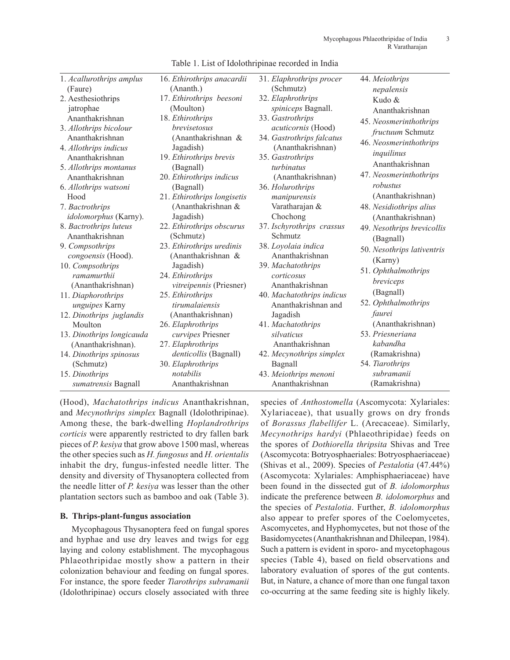| 1. Acallurothrips amplus  | 16. Ethirothrips anacardii     | 31. Elaphrothrips procer  | 44. Meiothrips             |
|---------------------------|--------------------------------|---------------------------|----------------------------|
| (Faure)                   | (Ananth.)                      | (Schmutz)                 | nepalensis                 |
| 2. Aesthesiothrips        | 17. Ethirothrips beesoni       | 32. Elaphrothrips         | Kudo &                     |
| jatrophae                 | (Moulton)                      | spiniceps Bagnall.        | Ananthakrishnan            |
| Ananthakrishnan           | 18. Ethirothrips               | 33. Gastrothrips          | 45. Neosmerinthothrips     |
| 3. Allothrips bicolour    | <i>brevisetosus</i>            | acuticornis (Hood)        | fructuum Schmutz           |
| Ananthakrishnan           | (Ananthakrishnan &             | 34. Gastrothrips falcatus | 46. Neosmerinthothrips     |
| 4. Allothrips indicus     | Jagadish)                      | (Ananthakrishnan)         |                            |
| Ananthakrishnan           | 19. Ethirothrips brevis        | 35. Gastrothrips          | inquilinus                 |
| 5. Allothrips montanus    | (Bagnall)                      | turbinatus                | Ananthakrishnan            |
| Ananthakrishnan           | 20. Ethirothrips indicus       | (Ananthakrishnan)         | 47. Neosmerinthothrips     |
| 6. Allothrips watsoni     | (Bagnall)                      | 36. Holurothrips          | robustus                   |
| Hood                      | 21. Ethirothrips longisetis    | manipurensis              | (Ananthakrishnan)          |
| 7. Bactrothrips           | (Ananthakrishnan &             | Varatharajan &            | 48. Nesidiothrips alius    |
| idolomorphus (Karny).     | Jagadish)                      | Chochong                  | (Ananthakrishnan)          |
| 8. Bactrothrips luteus    | 22. Ethirothrips obscurus      | 37. Ischyrothrips crassus | 49. Nesothrips brevicollis |
| Ananthakrishnan           | (Schmutz)                      | Schmutz                   | (Bagnall)                  |
| 9. Compsothrips           | 23. Ethirothrips uredinis      | 38. Loyolaia indica       | 50. Nesothrips lativentris |
| congoensis (Hood).        | (Ananthakrishnan &             | Ananthakrishnan           | (Karny)                    |
| 10. Compsothrips          | Jagadish)                      | 39. Machatothrips         | 51. Ophthalmothrips        |
| ramamurthii               | 24. Ethirothrips               | corticosus                | breviceps                  |
| (Ananthakrishnan)         | <i>vitreipennis</i> (Priesner) | Ananthakrishnan           | (Bagnall)                  |
| 11. Diaphorothrips        | 25. Ethirothrips               | 40. Machatothrips indicus |                            |
| unguipes Karny            | tirumalaiensis                 | Ananthakrishnan and       | 52. Ophthalmothrips        |
| 12. Dinothrips juglandis  | (Ananthakrishnan)              | Jagadish                  | faurei                     |
| Moulton                   | 26. Elaphrothrips              | 41. Machatothrips         | (Ananthakrishnan)          |
| 13. Dinothrips longicauda | curvipes Priesner              | silvaticus                | 53. Priesneriana           |
| (Ananthakrishnan).        | 27. Elaphrothrips              | Ananthakrishnan           | kabandha                   |
| 14. Dinothrips spinosus   | denticollis (Bagnall)          | 42. Mecynothrips simplex  | (Ramakrishna)              |
| (Schmutz)                 | 30. Elaphrothrips              | Bagnall                   | 54. Tiarothrips            |
| 15. Dinothrips            | notabilis                      | 43. Meiothrips menoni     | subramanii                 |
| sumatrensis Bagnall       | Ananthakrishnan                | Ananthakrishnan           | (Ramakrishna)              |

Table 1. List of Idolothripinae recorded in India

(Hood), *Machatothrips indicus* Ananthakrishnan, and *Mecynothrips simplex* Bagnall (Idolothripinae). Among these, the bark-dwelling *Hoplandrothrips corticis* were apparently restricted to dry fallen bark pieces of *P. kesiya* that grow above 1500 masl, whereas the other species such as *H. fungosus* and *H. orientalis* inhabit the dry, fungus-infested needle litter. The density and diversity of Thysanoptera collected from the needle litter of *P. kesiya* was lesser than the other plantation sectors such as bamboo and oak (Table 3).

# **B. Thrips-plant-fungus association**

Mycophagous Thysanoptera feed on fungal spores and hyphae and use dry leaves and twigs for egg laying and colony establishment. The mycophagous Phlaeothripidae mostly show a pattern in their colonization behaviour and feeding on fungal spores. For instance, the spore feeder *Tiarothrips subramanii*  (Idolothripinae) occurs closely associated with three

species of *Anthostomella* (Ascomycota: Xylariales: Xylariaceae), that usually grows on dry fronds of *Borassus flabellifer* L. (Arecaceae). Similarly, *Mecynothrips hardyi* (Phlaeothripidae) feeds on the spores of *Dothiorella thripsita* Shivas and Tree (Ascomycota: Botryosphaeriales: Botryosphaeriaceae) (Shivas et al., 2009). Species of *Pestalotia* (47.44%) (Ascomycota: Xylariales: Amphisphaeriaceae) have been found in the dissected gut of *B. idolomorphus* indicate the preference between *B. idolomorphus* and the species of *Pestalotia*. Further, *B. idolomorphus*  also appear to prefer spores of the Coelomycetes, Ascomycetes, and Hyphomycetes, but not those of the Basidomycetes (Ananthakrishnan and Dhileepan, 1984). Such a pattern is evident in sporo- and mycetophagous species (Table 4), based on field observations and laboratory evaluation of spores of the gut contents. But, in Nature, a chance of more than one fungal taxon co-occurring at the same feeding site is highly likely.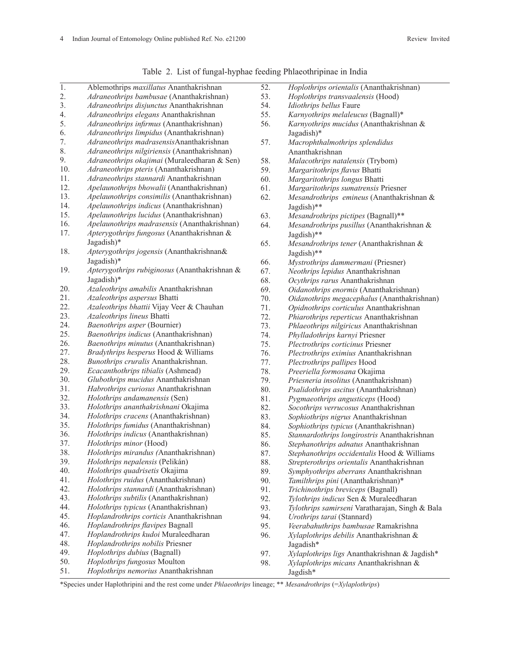| $\overline{1}$ . | Ablemothrips maxillatus Ananthakrishnan       | 52.        | Hoplothrips orientalis (Ananthakrishnan)                             |
|------------------|-----------------------------------------------|------------|----------------------------------------------------------------------|
| 2.               | Adraneothrips bambusae (Ananthakrishnan)      | 53.        | Hoplothrips transvaalensis (Hood)                                    |
| 3.               | Adraneothrips disjunctus Ananthakrishnan      | 54.        | Idiothrips bellus Faure                                              |
| 4.               | Adraneothrips elegans Ananthakrishnan         | 55.        | Karnyothrips melaleucus (Bagnall)*                                   |
| 5.               | Adraneothrips infirmus (Ananthakrishnan)      | 56.        | Karnyothrips mucidus (Ananthakrishnan &                              |
| 6.               | Adraneothrips limpidus (Ananthakrishnan)      |            | Jagadish)*                                                           |
| 7.               | Adraneothrips madrasensisAnanthakrishnan      | 57.        | Macrophthalmothrips splendidus                                       |
| 8.               | Adraneothrips nilgiriensis (Ananthakrishnan)  |            | Ananthakrishnan                                                      |
| 9.               | Adraneothrips okajimai (Muraleedharan & Sen)  | 58.        | Malacothrips natalensis (Trybom)                                     |
| 10.              | Adraneothrips pteris (Ananthakrishnan)        | 59.        | Margaritothrips flavus Bhatti                                        |
| 11.              | Adraneothrips stannardi Ananthakrishnan       | 60.        | Margaritothrips longus Bhatti                                        |
| 12.              | Apelaunothrips bhowalii (Ananthakrishnan)     | 61.        | Margaritothrips sumatrensis Priesner                                 |
| 13.              | Apelaunothrips consimilis (Ananthakrishnan)   | 62.        | Mesandrothrips emineus (Ananthakrishnan &                            |
| 14.              | Apelaunothrips indicus (Ananthakrishnan)      |            | Jagdish)**                                                           |
| 15.              | Apelaunothrips lucidus (Ananthakrishnan)      | 63.        | Mesandrothrips pictipes (Bagnall)**                                  |
| 16.              | Apelaunothrips madrasensis (Ananthakrishnan)  | 64.        | Mesandrothrips pusillus (Ananthakrishnan &                           |
| 17.              | Apterygothrips fungosus (Ananthakrishnan &    |            | Jagdish)**                                                           |
|                  | Jagadish)*                                    | 65.        | Mesandrothrips tener (Ananthakrishnan &                              |
| 18.              | Apterygothrips jogensis (Ananthakrishnan&     |            | Jagdish)**                                                           |
|                  | Jagadish)*                                    | 66.        |                                                                      |
| 19.              | Apterygothrips rubiginosus (Ananthakrishnan & | 67.        | Mystrothrips dammermani (Priesner)                                   |
|                  | Jagadish)*                                    | 68.        | Neothrips lepidus Ananthakrishnan<br>Ocythrips rarus Ananthakrishnan |
| 20.              | Azaleothrips amabilis Ananthakrishnan         | 69.        |                                                                      |
| 21.              | Azaleothrips aspersus Bhatti                  | 70.        | Oidanothrips enormis (Ananthakrishnan)                               |
| 22.              | Azaleothrips bhattii Vijay Veer & Chauhan     | 71.        | Oidanothrips megacephalus (Ananthakrishnan)                          |
| 23.              | Azaleothrips lineus Bhatti                    | 72.        | Opidnothrips corticulus Ananthakrishnan                              |
| 24.              | Baenothrips asper (Bournier)                  | 73.        | Phiarothrips reperticus Ananthakrishnan                              |
| 25.              | Baenothrips indicus (Ananthakrishnan)         | 74.        | Phlaeothrips nilgiricus Ananthakrishnan                              |
| 26.              | Baenothrips minutus (Ananthakrishnan)         |            | Phylladothrips karnyi Priesner                                       |
| 27.              | Bradythrips hesperus Hood & Williams          | 75.        | Plectrothrips corticinus Priesner                                    |
| 28.              | Bunothrips cruralis Ananthakrishnan.          | 76.        | Plectrothrips eximius Ananthakrishnan                                |
| 29.              | Ecacanthothrips tibialis (Ashmead)            | 77.<br>78. | Plectrothrips pallipes Hood                                          |
| 30.              | Glubothrips mucidus Ananthakrishnan           |            | Preeriella formosana Okajima                                         |
| 31.              |                                               | 79.        | Priesneria insolitus (Ananthakrishnan)                               |
| 32.              | Habrothrips curiosus Ananthakrishnan          | 80.        | Psalidothrips ascitus (Ananthakrishnan)                              |
| 33.              | Holothrips andamanensis (Sen)                 | 81.        | Pygmaeothrips angusticeps (Hood)                                     |
| 34.              | Holothrips ananthakrishnani Okajima           | 82.        | Socothrips verrucosus Ananthakrishnan                                |
| 35.              | Holothrips cracens (Ananthakrishnan)          | 83.        | Sophiothrips nigrus Ananthakrishnan                                  |
| 36.              | Holothrips fumidus (Ananthakrishnan)          | 84.        | Sophiothrips typicus (Ananthakrishnan)                               |
| 37.              | Holothrips indicus (Ananthakrishnan)          | 85.        | Stannardothrips longirostris Ananthakrishnan                         |
|                  | Holothrips minor (Hood)                       | 86.        | Stephanothrips adnatus Ananthakrishnan                               |
| 38.              | Holothrips mirandus (Ananthakrishnan)         | 87.        | Stephanothrips occidentalis Hood & Williams                          |
| 39.              | Holothrips nepalensis (Pelikán)               | 88.        | Strepterothrips orientalis Ananthakrishnan                           |
| 40.              | Holothrips quadrisetis Okajima                | 89.        | Symphyothrips aberrans Ananthakrishnan                               |
| 41.              | Holothrips ruidus (Ananthakrishnan)           | 90.        | Tamilthrips pini (Ananthakrishnan)*                                  |
| 42.              | Holothrips stannardi (Ananthakrishnan)        | 91.        | Trichinothrips breviceps (Bagnall)                                   |
| 43.              | Holothrips subtilis (Ananthakrishnan)         | 92.        | Tylothrips indicus Sen & Muraleedharan                               |
| 44.              | Holothrips typicus (Ananthakrishnan)          | 93.        | Tylothrips samirseni Varatharajan, Singh & Bala                      |
| 45.              | Hoplandrothrips corticis Ananthakrishnan      | 94.        | Urothrips tarai (Stannard)                                           |
| 46.              | Hoplandrothrips flavipes Bagnall              | 95.        | Veerabahuthrips bambusae Ramakrishna                                 |
| 47.              | Hoplandrothrips kudoi Muraleedharan           | 96.        | Xylaplothrips debilis Ananthakrishnan &                              |
| 48.              | Hoplandrothrips nobilis Priesner              |            | Jagadish*                                                            |
| 49.              | Hoplothrips dubius (Bagnall)                  | 97.        | Xylaplothrips ligs Ananthakrishnan & Jagdish*                        |
| 50.              | Hoplothrips fungosus Moulton                  | 98.        | Xylaplothrips micans Ananthakrishnan &                               |
| 51.              | Hoplothrips nemorius Ananthakrishnan          |            | Jagdish*                                                             |

Table 2. List of fungal-hyphae feeding Phlaeothripinae in India

\*Species under Haplothripini and the rest come under *Phlaeothrips* lineage; \*\* *Mesandrothrips* (=*Xylaplothrips*)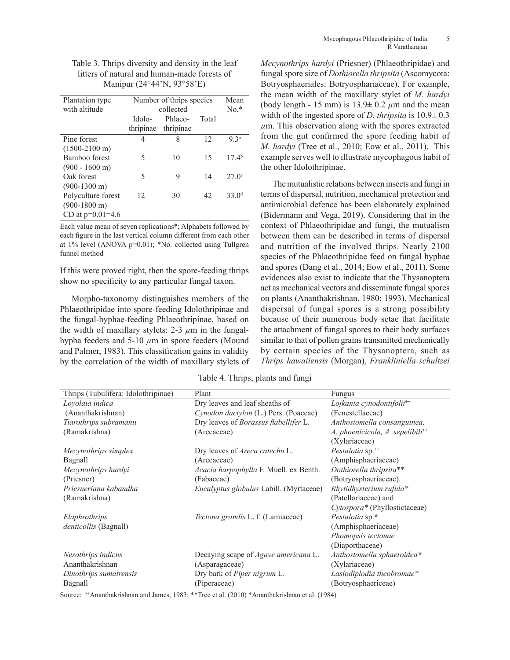| Plantation type<br>with altitude                                                             | Number of thrips species<br>collected |                      |       | Mean<br>$No*$     |
|----------------------------------------------------------------------------------------------|---------------------------------------|----------------------|-------|-------------------|
|                                                                                              | Idolo-<br>thripinae                   | Phlaeo-<br>thripinae | Total |                   |
| Pine forest                                                                                  | 4                                     | 8                    | 12    | 9 <sup>2a</sup>   |
| $(1500-2100 \text{ m})$<br>Bamboo forest<br>$(900 - 1600)$ m)                                | 5                                     | 10                   | 15    | 17.4 <sup>b</sup> |
| Oak forest                                                                                   | 5                                     | 9                    | 14    | 270c              |
| $(900-1300 \text{ m})$<br>Polyculture forest<br>$(900-1800 \text{ m})$<br>CD at $p=0.01=4.6$ | 12                                    | 30                   | 42    | 33.0 <sup>d</sup> |

Table 3. Thrips diversity and density in the leaf litters of natural and human-made forests of Manipur (24°44'N, 93°58'E)

Each value mean of seven replications\*; Alphabets followed by each figure in the last vertical column different from each other at 1% level (ANOVA p=0.01); \*No. collected using Tullgren funnel method

If this were proved right, then the spore-feeding thrips show no specificity to any particular fungal taxon.

Morpho-taxonomy distinguishes members of the Phlaeothripidae into spore-feeding Idolothripinae and the fungal-hyphae-feeding Phlaeothripinae, based on the width of maxillary stylets:  $2-3 \mu m$  in the fungalhypha feeders and 5-10  $\mu$ m in spore feeders (Mound and Palmer, 1983). This classification gains in validity by the correlation of the width of maxillary stylets of *Mecynothrips hardyi* (Priesner) (Phlaeothripidae) and fungal spore size of *Dothiorella thripsita* (Ascomycota: Botryosphaeriales: Botryosphariaceae). For example, the mean width of the maxillary stylet of *M. hardyi*  (body length - 15 mm) is  $13.9 \pm 0.2 \mu$ m and the mean width of the ingested spore of *D. thripsita* is 10.9± 0.3 *µ*m. This observation along with the spores extracted from the gut confirmed the spore feeding habit of *M. hardyi* (Tree et al., 2010; Eow et al., 2011). This example serves well to illustrate mycophagous habit of the other Idolothripinae.

The mutualistic relations between insects and fungi in terms of dispersal, nutrition, mechanical protection and antimicrobial defence has been elaborately explained (Bidermann and Vega, 2019). Considering that in the context of Phlaeothripidae and fungi, the mutualism between them can be described in terms of dispersal and nutrition of the involved thrips. Nearly 2100 species of the Phlaeothripidae feed on fungal hyphae and spores (Dang et al., 2014; Eow et al., 2011). Some evidences also exist to indicate that the Thysanoptera act as mechanical vectors and disseminate fungal spores on plants (Ananthakrishnan, 1980; 1993). Mechanical dispersal of fungal spores is a strong possibility because of their numerous body setae that facilitate the attachment of fungal spores to their body surfaces similar to that of pollen grains transmitted mechanically by certain species of the Thysanoptera, such as *Thrips hawaiiensis* (Morgan), *Frankliniella schultzei* 

Table 4. Thrips, plants and fungi

| Thrips (Tubulifera: Idolothripinae) | Plant                                          | Fungus                                       |
|-------------------------------------|------------------------------------------------|----------------------------------------------|
| Loyolaia indica                     | Dry leaves and leaf sheaths of                 | Lojkania cynodontifolii <sup>++</sup>        |
| (Ananthakrishnan)                   | Cynodon dactylon (L.) Pers. (Poaceae)          | (Fenestellaceae)                             |
| Tiarothrips subramanii              | Dry leaves of Borassus flabellifer L.          | Anthostomella consanguinea,                  |
| (Ramakrishna)                       | (Arecaceae)                                    | A. phoenicicola, A. sepelibili <sup>++</sup> |
|                                     |                                                | (Xylariaceae)                                |
| Mecynothrips simplex                | Dry leaves of <i>Areca catechu</i> L.          | Pestalotia sp. <sup>++</sup>                 |
| Bagnall                             | (Arecaceae)                                    | (Amphisphaeriaceae)                          |
| Mecynothrips hardyi                 | <i>Acacia harpophylla F. Muell. ex Benth.</i>  | Dothiorella thripsita**                      |
| (Priesner)                          | (Fabaceae)                                     | (Botryosphaeriaceae).                        |
| Priesneriana kabandha               | <i>Eucalyptus globulus</i> Labill. (Myrtaceae) | Rhytidhysterium rufula*                      |
| (Ramakrishna)                       |                                                | (Patellariaceae) and                         |
|                                     |                                                | Cytospora* (Phyllostictaceae)                |
| Elaphrothrips                       | Tectona grandis L. f. (Lamiaceae)              | Pestalotia sp.*                              |
| <i>denticollis</i> (Bagnall)        |                                                | (Amphisphaeriaceae)                          |
|                                     |                                                | Phomopsis tectonae                           |
|                                     |                                                | (Diaporthaceae)                              |
| Nesothrips indicus                  | Decaying scape of <i>Agave americana</i> L.    | Anthostomella sphaeroidea*                   |
| Ananthakrishnan                     | (Asparagaceae)                                 | (Xylariaceae)                                |
| Dinothrips sumatrensis              | Dry bark of Piper nigrum L.                    | Lasiodiplodia theobromae*                    |
| Bagnall                             | (Piperaceae)                                   | (Botryosphaericeae)                          |

Source:  $+A$ nanthakrishnan and James, 1983; \*\*Tree et al. (2010) \*Ananthakrishnan et al. (1984)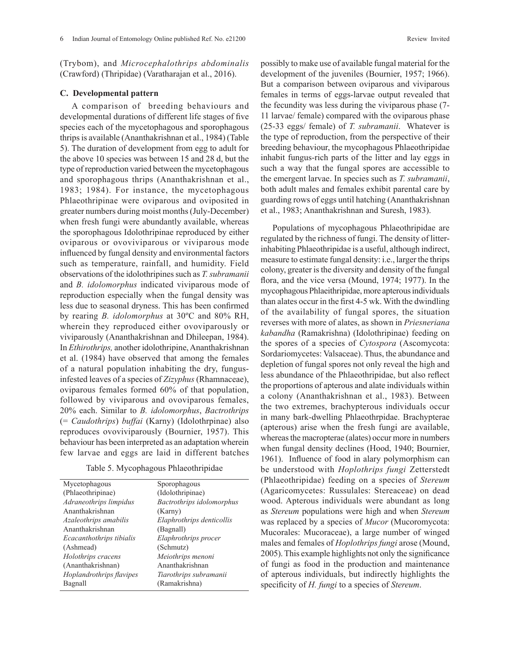(Trybom), and *Microcephalothrips abdominalis* (Crawford) (Thripidae) (Varatharajan et al., 2016).

### **C. Developmental pattern**

A comparison of breeding behaviours and developmental durations of different life stages of five species each of the mycetophagous and sporophagous thrips is available (Ananthakrishnan et al., 1984) (Table 5). The duration of development from egg to adult for the above 10 species was between 15 and 28 d, but the type of reproduction varied between the mycetophagous and sporophagous thrips (Ananthakrishnan et al., 1983; 1984). For instance, the mycetophagous Phlaeothripinae were oviparous and oviposited in greater numbers during moist months (July-December) when fresh fungi were abundantly available, whereas the sporophagous Idolothripinae reproduced by either oviparous or ovoviviparous or viviparous mode influenced by fungal density and environmental factors such as temperature, rainfall, and humidity. Field observations of the idolothripines such as *T. subramanii* and *B. idolomorphus* indicated viviparous mode of reproduction especially when the fungal density was less due to seasonal dryness. This has been confirmed by rearing *B. idolomorphus* at 30ºC and 80% RH, wherein they reproduced either ovoviparously or viviparously (Ananthakrishnan and Dhileepan, 1984). In *Ethirothrips,* another idolothripine, Ananthakrishnan et al. (1984) have observed that among the females of a natural population inhabiting the dry, fungusinfested leaves of a species of *Zizyphus* (Rhamnaceae), oviparous females formed 60% of that population, followed by viviparous and ovoviparous females, 20% each. Similar to *B. idolomorphus*, *Bactrothrips*  (= *Caudothrips*) *buffai* (Karny) (Idolothrpinae) also reproduces ovoviviparously (Bournier, 1957). This behaviour has been interpreted as an adaptation wherein few larvae and eggs are laid in different batches

Table 5. Mycophagous Phlaeothripidae

| Mycetophagous            | Sporophagous              |
|--------------------------|---------------------------|
| (Phlaeothripinae)        | (Idolothripinae)          |
| Adraneothrips limpidus   | Bactrothrips idolomorphus |
| Ananthakrishnan          | (Karny)                   |
| Azaleothrips amabilis    | Elaphrothrips denticollis |
| Ananthakrishnan          | (Bagnall)                 |
| Ecacanthothrips tibialis | Elaphrothrips procer      |
| (Ashmead)                | (Schmutz)                 |
| Holothrips cracens       | Meiothrips menoni         |
| (Ananthakrishnan)        | Ananthakrishnan           |
| Hoplandrothrips flavipes | Tiarothrips subramanii    |
| Bagnall                  | (Ramakrishna)             |

possibly to make use of available fungal material for the development of the juveniles (Bournier, 1957; 1966). But a comparison between oviparous and viviparous females in terms of eggs-larvae output revealed that the fecundity was less during the viviparous phase (7- 11 larvae/ female) compared with the oviparous phase (25-33 eggs/ female) of *T. subramanii*. Whatever is the type of reproduction, from the perspective of their breeding behaviour, the mycophagous Phlaeothripidae inhabit fungus-rich parts of the litter and lay eggs in such a way that the fungal spores are accessible to the emergent larvae. In species such as *T. subramanii*, both adult males and females exhibit parental care by guarding rows of eggs until hatching (Ananthakrishnan et al., 1983; Ananthakrishnan and Suresh, 1983).

Populations of mycophagous Phlaeothripidae are regulated by the richness of fungi. The density of litterinhabiting Phlaeothripidae is a useful, although indirect, measure to estimate fungal density: i.e., larger the thrips colony, greater is the diversity and density of the fungal flora, and the vice versa (Mound, 1974; 1977). In the mycophagous Phlaeithripidae, more apterous individuals than alates occur in the first 4-5 wk. With the dwindling of the availability of fungal spores, the situation reverses with more of alates, as shown in *Priesneriana kabandha* (Ramakrishna) (Idolothripinae) feeding on the spores of a species of *Cytospora* (Ascomycota: Sordariomycetes: Valsaceae). Thus, the abundance and depletion of fungal spores not only reveal the high and less abundance of the Phlaeothripidae, but also reflect the proportions of apterous and alate individuals within a colony (Ananthakrishnan et al., 1983). Between the two extremes, brachypterous individuals occur in many bark-dwelling Phlaeothrpidae. Brachypterae (apterous) arise when the fresh fungi are available, whereas the macropterae (alates) occur more in numbers when fungal density declines (Hood, 1940; Bournier, 1961). Influence of food in alary polymorphism can be understood with *Hoplothrips fungi* Zetterstedt (Phlaeothripidae) feeding on a species of *Stereum*  (Agaricomycetes: Russulales: Stereaceae) on dead wood. Apterous individuals were abundant as long as *Stereum* populations were high and when *Stereum*  was replaced by a species of *Mucor* (Mucoromycota: Mucorales: Mucoraceae), a large number of winged males and females of *Hoplothrips fungi* arose (Mound, 2005). This example highlights not only the significance of fungi as food in the production and maintenance of apterous individuals, but indirectly highlights the specificity of *H. fungi* to a species of *Stereum*.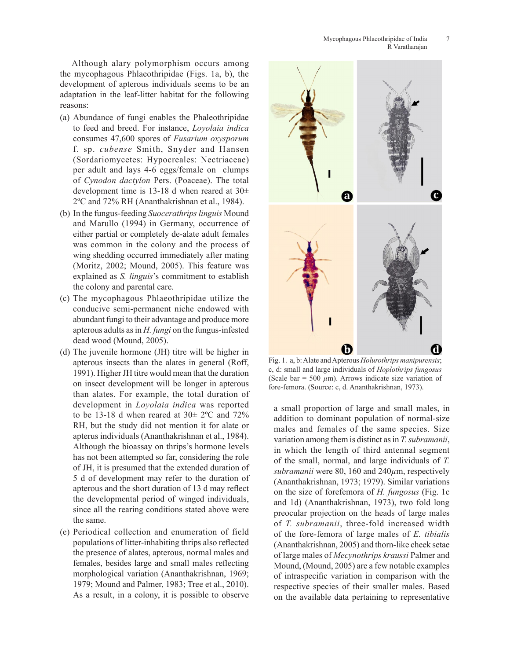Although alary polymorphism occurs among the mycophagous Phlaeothripidae (Figs. 1a, b), the development of apterous individuals seems to be an adaptation in the leaf-litter habitat for the following reasons:

- (a) Abundance of fungi enables the Phaleothripidae to feed and breed. For instance, *Loyolaia indica*  consumes 47,600 spores of *Fusarium oxysporum* f. sp. *cubense* Smith, Snyder and Hansen (Sordariomycetes: Hypocreales: Nectriaceae) per adult and lays 4-6 eggs/female on clumps of *Cynodon dactylon* Pers. (Poaceae). The total development time is 13-18 d when reared at  $30\pm$ 2ºC and 72% RH (Ananthakrishnan et al., 1984).
- (b) In the fungus-feeding *Suocerathrips linguis* Mound and Marullo (1994) in Germany, occurrence of either partial or completely de-alate adult females was common in the colony and the process of wing shedding occurred immediately after mating (Moritz, 2002; Mound, 2005). This feature was explained as *S. linguis*'s commitment to establish the colony and parental care.
- (c) The mycophagous Phlaeothripidae utilize the conducive semi-permanent niche endowed with abundant fungi to their advantage and produce more apterous adults as in *H. fungi* on the fungus-infested dead wood (Mound, 2005).
- (d) The juvenile hormone (JH) titre will be higher in apterous insects than the alates in general (Roff, 1991). Higher JH titre would mean that the duration on insect development will be longer in apterous than alates. For example, the total duration of development in *Loyolaia indica* was reported to be 13-18 d when reared at  $30\pm 2^{\circ}\text{C}$  and  $72\%$ RH, but the study did not mention it for alate or apterus individuals (Ananthakrishnan et al., 1984). Although the bioassay on thrips's hormone levels has not been attempted so far, considering the role of JH, it is presumed that the extended duration of 5 d of development may refer to the duration of apterous and the short duration of 13 d may reflect the developmental period of winged individuals, since all the rearing conditions stated above were the same.
- (e) Periodical collection and enumeration of field populations of litter-inhabiting thrips also reflected the presence of alates, apterous, normal males and females, besides large and small males reflecting morphological variation (Ananthakrishnan, 1969; 1979; Mound and Palmer, 1983; Tree et al., 2010). As a result, in a colony, it is possible to observe



Fig. 1. a, b: Alate and Apterous *Holurothrips manipurensis*; c, d: small and large individuals of *Hoplothrips fungosus* (Scale bar = 500  $\mu$ m). Arrows indicate size variation of fore-femora. (Source: c, d. Ananthakrishnan, 1973).

as reported a small proportion of large and small males, in and 72% addition to dominant population of normal-size males and females of the same species. Size variation among them is distinct as in *T. subramanii*, in which the length of third antennal segment of the small, normal, and large individuals of *T. subramanii* were 80, 160 and 240*µ*m, respectively (Ananthakrishnan, 1973; 1979). Similar variations on the size of forefemora of *H. fungosus* (Fig. 1c and 1d) (Ananthakrishnan, 1973), two fold long preocular projection on the heads of large males of *T. subramanii*, three-fold increased width of the fore-femora of large males of *E. tibialis* (Ananthakrishnan, 2005) and thorn-like cheek setae of large males of *Mecynothrips kraussi* Palmer and Mound, (Mound, 2005) are a few notable examples of intraspecific variation in comparison with the respective species of their smaller males. Based on the available data pertaining to representative 11 IS reported<br>
11 Fig. 1. a, b: Alate or<br>
11 Fig. 2. a, b: Alate or<br>
11 Fig. 1984).<br>
11 Fig. 1984).<br>
11 Fig. 1984).<br>
11 Fig. 1984).<br>
11 Fig. 1984).<br>
11 Fig. 1984).<br>
11 Fig. 1984).<br>
11 Fig. 1984 in which the length of thi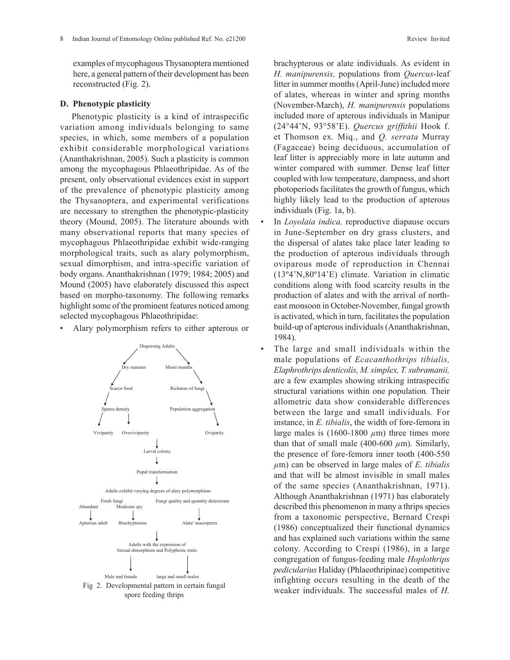examples of mycophagous Thysanoptera mentioned here, a general pattern of their development has been reconstructed (Fig. 2).

### **D. Phenotypic plasticity**

Phenotypic plasticity is a kind of intraspecific variation among individuals belonging to same species, in which, some members of a population exhibit considerable morphological variations (Ananthakrishnan, 2005). Such a plasticity is common among the mycophagous Phlaeothripidae. As of the present, only observational evidences exist in support of the prevalence of phenotypic plasticity among the Thysanoptera, and experimental verifications are necessary to strengthen the phenotypic-plasticity theory (Mound, 2005). The literature abounds with many observational reports that many species of mycophagous Phlaeothripidae exhibit wide-ranging morphological traits, such as alary polymorphism, sexual dimorphism, and intra-specific variation of body organs. Ananthakrishnan (1979; 1984; 2005) and Mound (2005) have elaborately discussed this aspect based on morpho-taxonomy. The following remarks highlight some of the prominent features noticed among selected mycophagous Phlaeothripidae:

Alary polymorphism refers to either apterous or



brachypterous or alate individuals. As evident in *H. manipurensis,* populations from *Quercus*-leaf litter in summer months (April-June) included more of alates, whereas in winter and spring months (November-March), *H. manipurensis* populations included more of apterous individuals in Manipur (24°44'N, 93°58'E). *Quercus griffithii* Hook f. et Thomson ex. Miq., and *Q. serrata* Murray (Fagaceae) being deciduous, accumulation of leaf litter is appreciably more in late autumn and winter compared with summer. Dense leaf litter coupled with low temperature, dampness, and short photoperiods facilitates the growth of fungus, which highly likely lead to the production of apterous individuals (Fig. 1a, b).

- In *Loyolaia indica,* reproductive diapause occurs in June-September on dry grass clusters, and the dispersal of alates take place later leading to the production of apterous individuals through oviparous mode of reproduction in Chennai (13º4'N,80º14'E) climate. Variation in climatic conditions along with food scarcity results in the production of alates and with the arrival of northeast monsoon in October-November, fungal growth is activated, which in turn, facilitates the population build-up of apterous individuals (Ananthakrishnan, 1984).
- The large and small individuals within the male populations of *Ecacanthothrips tibialis, Elaphrothrips denticolis, M. simplex, T. subramanii,*  are a few examples showing striking intraspecific structural variations within one population. Their allometric data show considerable differences between the large and small individuals. For instance, in *E. tibialis*, the width of fore-femora in large males is  $(1600-1800 \mu m)$  three times more than that of small male (400-600  $\mu$ m). Similarly, the presence of fore-femora inner tooth (400-550 *µ*m) can be observed in large males of *E. tibialis* and that will be almost invisible in small males of the same species (Ananthakrishnan, 1971). Although Ananthakrishnan (1971) has elaborately described this phenomenon in many a thrips species from a taxonomic perspective, Bernard Crespi (1986) conceptualized their functional dynamics and has explained such variations within the same colony. According to Crespi (1986), in a large congregation of fungus-feeding male *Hoplothrips pedicularius* Haliday (Phlaeothripinae) competitive infighting occurs resulting in the death of the Fig 2. Developmental pattern in certain fungal<br>weaker individuals. The successful males of *H*.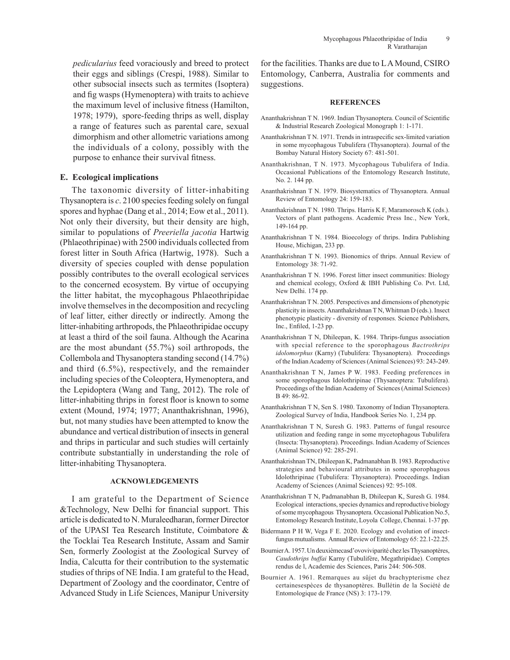*pedicularius* feed voraciously and breed to protect their eggs and siblings (Crespi, 1988). Similar to other subsocial insects such as termites (Isoptera) and fig wasps (Hymenoptera) with traits to achieve the maximum level of inclusive fitness (Hamilton, 1978; 1979), spore-feeding thrips as well, display a range of features such as parental care, sexual dimorphism and other allometric variations among the individuals of a colony, possibly with the purpose to enhance their survival fitness.

# **E. Ecological implications**

The taxonomic diversity of litter-inhabiting Thysanoptera is *c*. 2100 species feeding solely on fungal spores and hyphae (Dang et al., 2014; Eow et al., 2011). Not only their diversity, but their density are high, similar to populations of *Preeriella jacotia* Hartwig (Phlaeothripinae) with 2500 individuals collected from forest litter in South Africa (Hartwig, 1978). Such a diversity of species coupled with dense population possibly contributes to the overall ecological services to the concerned ecosystem. By virtue of occupying the litter habitat, the mycophagous Phlaeothripidae involve themselves in the decomposition and recycling of leaf litter, either directly or indirectly. Among the litter-inhabiting arthropods, the Phlaeothripidae occupy at least a third of the soil fauna. Although the Acarina are the most abundant (55.7%) soil arthropods, the Collembola and Thysanoptera standing second (14.7%) and third (6.5%), respectively, and the remainder including species of the Coleoptera, Hymenoptera, and the Lepidoptera (Wang and Tang, 2012). The role of litter-inhabiting thrips in forest floor is known to some extent (Mound, 1974; 1977; Ananthakrishnan, 1996), but, not many studies have been attempted to know the abundance and vertical distribution of insects in general and thrips in particular and such studies will certainly contribute substantially in understanding the role of litter-inhabiting Thysanoptera.

# **ACKNOWLEDGEMENTS**

I am grateful to the Department of Science &Technology, New Delhi for financial support. This article is dedicated to N. Muraleedharan, former Director of the UPASI Tea Research Institute, Coimbatore & the Tocklai Tea Research Institute, Assam and Samir Sen, formerly Zoologist at the Zoological Survey of India, Calcutta for their contribution to the systematic studies of thrips of NE India. I am grateful to the Head, Department of Zoology and the coordinator, Centre of Advanced Study in Life Sciences, Manipur University

for the facilities. Thanks are due to L A Mound, CSIRO Entomology, Canberra, Australia for comments and suggestions.

#### **REFERENCES**

- Ananthakrishnan T N. 1969. Indian Thysanoptera. Council of Scientific & Industrial Research Zoological Monograph 1: 1-171.
- Ananthakrishnan T N. 1971. Trends in intraspecific sex-limited variation in some mycophagous Tubulifera (Thysanoptera). Journal of the Bombay Natural History Society 67: 481-501.
- Ananthakrishnan, T N. 1973. Mycophagous Tubulifera of India. Occasional Publications of the Entomology Research Institute, No. 2. 144 pp.
- Ananthakrishnan T N. 1979. Biosystematics of Thysanoptera. Annual Review of Entomology 24: 159-183.
- Ananthakrishnan T N. 1980. Thrips. Harris K F, Maramorosch K (eds.). Vectors of plant pathogens. Academic Press Inc., New York, 149-164 pp.
- Ananthakrishnan T N. 1984. Bioecology of thrips. Indira Publishing House, Michigan, 233 pp.
- Ananthakrishnan T N. 1993. Bionomics of thrips. Annual Review of Entomology 38: 71-92.
- Ananthakrishnan T N. 1996. Forest litter insect communities: Biology and chemical ecology, Oxford & IBH Publishing Co. Pvt. Ltd, New Delhi. 174 pp.
- Ananthakrishnan T N. 2005. Perspectives and dimensions of phenotypic plasticity in insects. Ananthakrishnan T N, Whitman D (eds.). Insect phenotypic plasticity - diversity of responses. Science Publishers, Inc., Enfiled, 1-23 pp.
- Ananthakrishnan T N, Dhileepan, K. 1984. Thrips-fungus association with special reference to the sporophagous *Bactrothrips idolomorphus* (Karny) (Tubulifera: Thysanoptera). Proceedings of the Indian Academy of Sciences (Animal Sciences) 93: 243-249.
- Ananthakrishnan T N, James P W. 1983. Feeding preferences in some sporophagous Idolothripinae (Thysanoptera: Tubulifera). Proceedings of the Indian Academy of Sciences (Animal Sciences) B 49: 86-92.
- Ananthakrishnan T N, Sen S. 1980. Taxonomy of Indian Thysanoptera. Zoological Survey of India, Handbook Series No. 1, 234 pp.
- Ananthakrishnan T N, Suresh G. 1983. Patterns of fungal resource utilization and feeding range in some mycetophagous Tubulifera (Insecta: Thysanoptera). Proceedings. Indian Academy of Sciences (Animal Science) 92: 285-291.
- Ananthakrishnan TN, Dhileepan K, Padmanabhan B. 1983. Reproductive strategies and behavioural attributes in some sporophagous Idolothripinae (Tubulifera: Thysanoptera). Proceedings. Indian Academy of Sciences (Animal Sciences) 92: 95-108.
- Ananthakrishnan T N, Padmanabhan B, Dhileepan K, Suresh G. 1984. Ecological interactions, species dynamics and reproductive biology of some mycophagous Thysanoptera. Occasional Publication No.5, Entomology Research Institute, Loyola College, Chennai. 1-37 pp.
- Bidermann P H W, Vega F E. 2020. Ecology and evolution of insectfungus mutualisms. Annual Review of Entomology 65: 22.1-22.25.
- Bournier A. 1957. Un deuxièmecasd'ovoviviparité chez les Thysanoptères, *Caudothrips buffai* Karny (Tubulifère, Megathripidae). Comptes rendus de l, Academie des Sciences, Paris 244: 506-508.
- Bournier A. 1961. Remarques au sûjet du brachypterisme chez certainesespèces de thysanoptères. Bullétin de la Société de Entomologique de France (NS) 3: 173-179.